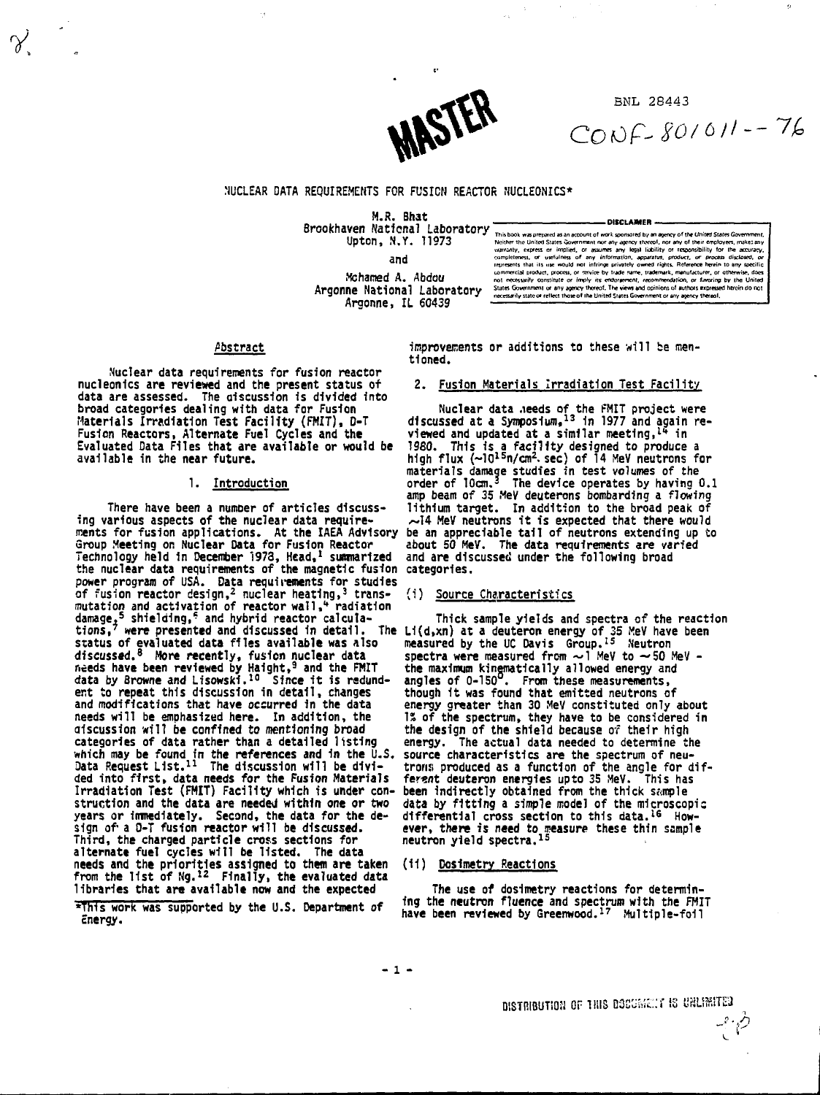

**B N L 28443**

 $CONF-SON01-76$ 

# **NUCLEAR DATA REQUIREMENTS FOR FUSION REACTOR NUCLEONICS\***

**Brookhaven National Laboratory**<br>Brookhaven National Laboratory **-Upton, N.Y. 11973**

**and Mchamed A. Abdou Argonne National Laboratory**

**Argonne, IL 60439**

Neither the United States Government or any approxy three forms of their employers, makes any state and variables variables with the matter of the matter of the matter of the matter of the matter of the matter of the matte

# **Abstract**

**Nuclear data requirements for fusion reactor nucleonics are reviewed and the present status of data are assessed. The discussion is divided into broad categories dealing with data for Fusion Materials Irradiation Test Facility (FHIT), D-T Fusion Reactors, Alternate Fuel Cycles and the Evaluated Data Files that are available or would be available in the near future.**

# **1. Introduction**

**There have been a numoer of articles discussing various aspects of the nuclear data require-ments for fusion applications. At the IAEA Advisory Group Meeting on Nuclear Data for Fusion Reactor** Technology held in December 1973, Head,<sup>1</sup> summarized<br>the nuclear data requirements of the magnetic fusion<br>power program of USA. Data requirements for studies<br>of fusion reactor design,<sup>2</sup> nuclear heating,<sup>3</sup> transmutation and activation of reactor wall, "radiation<br>damage,<sup>5</sup> shielding,<sup>5</sup> and hybrid reactor calcula-<br>tions,<sup>7</sup> were presented and discussed in detail. The<br>status of evaluated data files available was also<br>discussed.<sup>8</sup> Entry were presented and viscussion in detail.<br>
Status of evaluated data files available was also<br>
discussed.<sup>8</sup> More recently, fusion nuclear data<br>
needs have been reviewed by Haight,<sup>9</sup> and the FMIT<br>
data by Browne and L **and modifications that have occurred in the data needs will be emphasized here. In addition, the discussion will be confined to mentioning broad categories of data rather than a detailed listing which may be found in the references and in the U.S. Data Request List.<sup>11</sup> The discussion will be divided into first, data needs for the Fusion Materials Irradiation Test (FMIT) Facility which is under construction and the data are needed within one or two years or immediately. Second, the data for the de-sign of a 0-T fusion reactor will be discussed. Third, the charged particle cross sections for alternate fuel cycles will be listed. The data needs and the priorities assigned to them are taken from the list of Ng.<sup>12</sup> Finally, the evaluated data libraries that are available now and the expected**

**\*This work was supported by the U.S. Department of Energy.**

**•'improvements or additions to these will be mentioned.**

#### **2. Fusion Materials Irradiation Test Facility**

**Nuclear data ,ieeds of the FMIT project were discussed at a Symposium,13 1n 1977 and again re-viewed and updated at a similar meeting,<sup>1</sup>" in 1960. This 1s a facility designed to produce a high flux H0l s n/cm<sup>2</sup> . sec) of 14 MeV neutrons for materials damage studies in test volumes of the order of 10cm.<sup>5</sup> The device operates by having 0.1 amp beam of 35 MeV deuterons bombarding a flowing lithium target. In addition to the broad peak of .~I4 MeV neutrons it is expected that there would be an appreciable tail of neutrons extending up to about 50 MeV. The data requirements ire varied and are discussed under the following broad categories.**

#### **(i) Source Characteristics**

**Thick sample yields and spectra of the reaction** Li(d,xn) at a deuteron energy of 35 MeV have been<br>measured by the UC Davis Group.<sup>15</sup> Neutron<br>spectra were measured from  $\sim$  1 MeV to  $\sim$  50 MeV -<br>the maximum kinematically allowed energy and<br>angles of 0-150<sup>0</sup>. From th **though it was found that emitted neutrons of energy greater than 30 MeV constituted only about 1\* of the spectrum, they have to be considered in the design of the shield because of their high energy. The actual data needed to determine the source characteristics are the spectrum of neutrons produced as a function of the angle for dif-ferent deuteron energies upto 35 MeV. This has been indirectly obtained from the thick sample data by fitting a simple model of the microscopic differential cross section to this data.16 However, there is need to measure these thin sample neutron yield spectra.<sup>15</sup>**

#### **(11) Dosimetry Reactions**

**The use of dosimetry reactions for determining the neutron fluence and spectrum with the FMIT have been reviewed by Greenwood.<sup>17</sup> Multiple-foil**

من م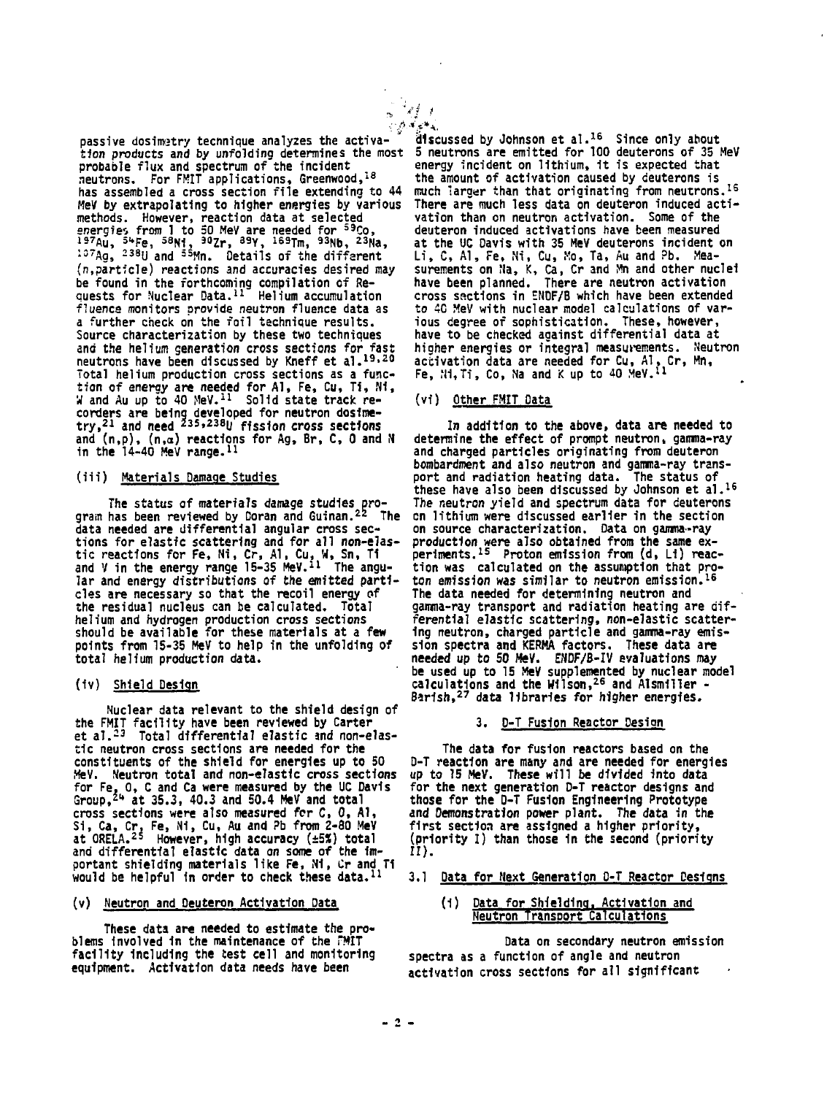**passive dosimetry tecnnique analyzes the activa-tion products and by unfolding determines the most probable flux and spectrum of the incident neutrons. For FMIT applications, Greenwood,<sup>18</sup> has assembled a cross section file extending to 44 MeV by extrapolating to higher energies by various methods. However, reaction data at selected** energies from 1 to 50 MeV are needed for 59 Co,<br>197Au, <sup>54</sup>Fe, <sup>58</sup>Ni, <sup>30</sup>Zr, <sup>89</sup>Y, <sup>169</sup>Tm, <sup>93</sup>Nb, <sup>23</sup>Na,<br><sup>197</sup>Ag, <sup>238</sup>U and <sup>55</sup>Mn. Details of the different **(n,particle) reactions and accuracies desired may be found in the forthcoming compilation of Re-quests for Nuclear Data.<sup>11</sup> Helium accumulation fluenca monitors provide neutron fluence data as a further check on the foil technique results. Source characterization by these two techniques and the helium generation cross sections for fast neutrons have been discussed by Kneff et a!.1 9\* 20 Total helium production cross sections as a func-**<br> **tion of energy are needed for Al, Fe, Cu, Ti, Ni,**<br>W and Au up to 40 MeV.<sup>11</sup> Solid state track re**corders are being developed for neutron dosime-try,<sup>21</sup> and need z3S,238|j ffS S <sup>i</sup><sup>o</sup> n cross sections and (n,p), (n,a) reactions for Ag, Br, C, 0 and N in the 14-40 MeV range.<sup>11</sup>**

# **(iii) Materials Damage Studies**

**The status of materials damage studies pro**gram has been reviewed by Doran and Guinan.<sup>22</sup> The **data needed are differential angular cross sections for elastic scattering and for all non-elas-tic reactions for Fe, Ni, Cr, Al, Cu, W, Sn, Ti and V in the energy range 15-35 MeV.<sup>11</sup> The angular and energy distributions of the emitted particles are necessary so that the recoil energy of the residual nucleus can be calculated. Total helium and hydrogen production cross sections should be available for these materials at a few points from 15-35 MeV to help in the unfolding of total helium production data.**

# **(iv) Shield Design**

**Nuclear data relevant to the shield design of the FMIT facility have been reviewed by Carter at al.-<sup>3</sup> Total differential elastic and non-elastic neutron cross sections are needed for the constituents of the shield for energies up to 50 MeV. Neutron total and non-elastic cross sections for Fe, 0, C and Ca were measured by the UC Davis Group,2" at 35.3, 40.3 and 50.4 MeV and total cross sections were also measured for C, 0, AT, Si, Ca, Cr, Fe, N1, Cu, Au and ?b from 2-80 MeV at ORELA.<sup>25</sup> However, high accuracy (±5X) total and differential elastic data on some of the important shielding materials like Fe, Mi, Cr and TI would be helpful In order to check these data.<sup>11</sup>**

#### **(v) Neutron and Deuteron Activation Data**

**These data are needed to estimate the problems involved 1n the maintenance of the FMIT facility Including the test cell and monitoring equipment. Activation data needs have been**

•fi .«'.<\* **discussed by Johnson et al.<sup>1</sup> <sup>6</sup> Since only about 5 neutrons are emitted for 100 deuterons of 35 MeV energy incident on lithium, it is expected that the amount of activation caused by deuterons is much larger than that originating from neutrons.<sup>15</sup> There are much less data on deuteron induced activation than on neutron activation. Some of the deuteron induced activations have been measured at the UC Davis with 35 MeV deuterons incident on Li, C, Al, Fe, Ni, Cu, Mo, Ta, Au and ?b. Mea-surements on fla, K, Ca, Cr and Mn and other nuclei have been planned. There are neutron activation cross sections in ENDF/B which have been extended to 40 MeV with nuclear model calculations of various degree of sophistication. These, however, have to be checked against differential data at higher energies or integral measurements. Neutron** activation data are needed for Cu, Al, Cr, Mn,<br>Fe, N1,Ti, Co, Na and K up to 40 MeV.<sup>11</sup>

# **(vi) Other FMIT Data**

**In addition to the above, data are needed to determine the effect of prompt neutron, gamma-ray and charged particles originating from deuteron bombardment and also neutron and gamma-ray transport and radiation heating data. The status of these have also been discussed by Johnson et al.<sup>1</sup> <sup>6</sup> The neutron yield and spectrum data for deuterons on lithium were discussed earlier in the section on source characterization. Data on gamma-ray production were also obtained from the same ex-periments.<sup>13</sup> Proton emission from (d, Li) reaction was calculated on the assumption that proton emission was similar to neutron emission.<sup>16</sup> The data needed for determining neutron and gamma-ray transport and radiation heating are differential elastic scattering, non-elastic scattering neutron, charged particle and gamma-ray emission spectra and KERMA factors. These data are needed up to 50 MeV. ENDF/B-IV evaluations may be used up to 15 MeV supplemented by nuclear model calculations and the Wilson,<sup>26</sup> and Aismiller - Barisft,<sup>27</sup> data libraries for higher energies.**

### **3. D-T Fusion Reactor Design**

**The data for fusion reactors based on the D-T reaction are many and are needed for energies up to 15 MeV. These will be divided into data for the next generation D-T reactor designs and those for the D-T Fusion Engineering Prototype and Demonstration power plant. The data in the first section are assigned a higher priority, (priority I) than those in the second (priority II).**

# **3.1 Data for flext Generation D-T Reactor Designs**

**(1) Data for Shielding. Activation and Neutron Transport Calculations"**

**Data on secondary neutron emission spectra as a function of angle and neutron activation cross sections for all significant**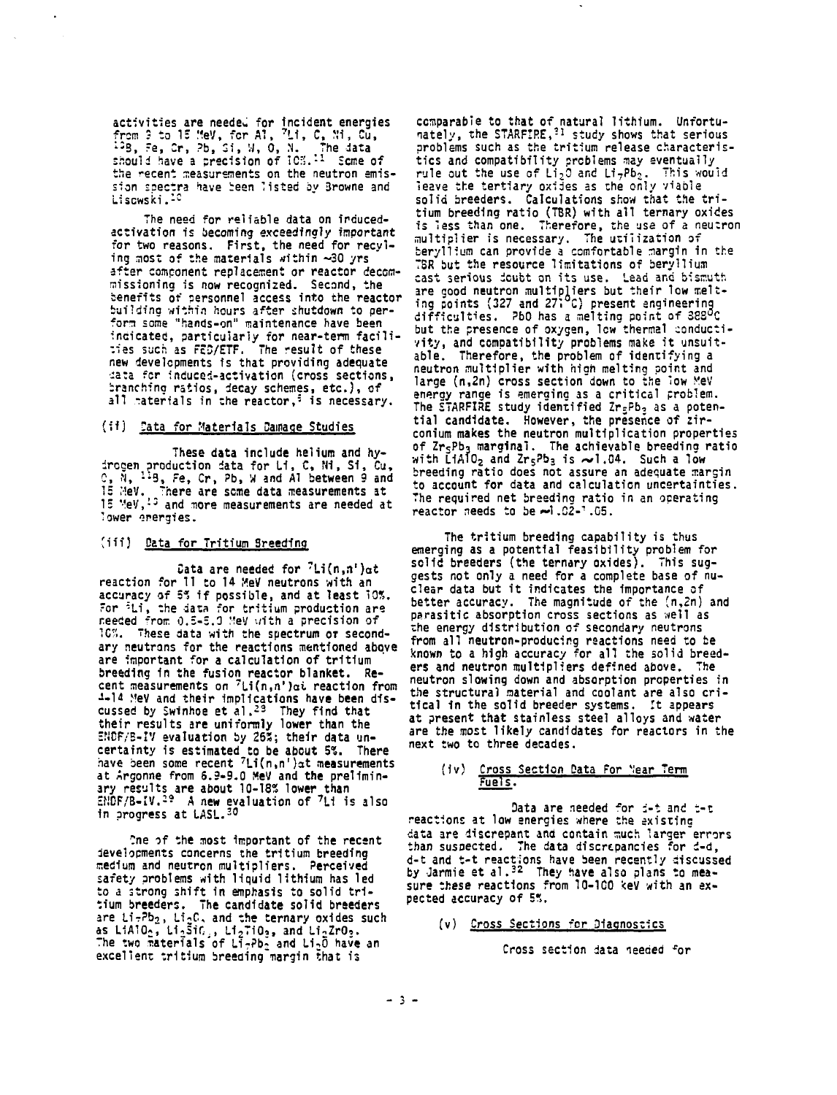activities are needed for incident energies<br>from 3 to 15 MeV, for Al, <sup>7</sup>Li, C, Mi, Gu,<br><sup>12</sup>B, Fe, Cr, Pb, Si, M, O, N. – The data<br>should have a precision of 10%.<sup>11</sup> Scme of the recent measurements on the neutron emis**sion spectra have been listed by 3rowne and Liscwski.<sup>1</sup>"**

**The need for reliable data on inducedactivation is becoming exceedingly important for two reasons. First, the need for recyiing most of the materials within -30 yrs after component replacement or reactor decommissioning is now recognized. Second, the benefits of personnel access into the reactor building within hours after shutdown to perform some "hands-on" maintenance have been indicated, particularly for near-term facilities such as FED/ETF. The result of these new developments is that providing adequate •:a:a fcr induced-activation (cross sections, branching ratios, decay schemes, etc.), of all -ateriais in the reactor,<sup>6</sup> is necessary.**

#### **(if) Data for Materials Carnage Studies**

**These data include helium and hydrccen production data for Li, C, HI, Si, Cu, C, N, l: 3 , Fe, Cr, Pb, M and AT between 9 and 15 MeV. <sup>T</sup>here are seme data measurements at 1: "!eV,!3 and mare measurements are needed at lower energies.**

# **Jiff) Data for Tritium 3reedfng**

**Data are needed for <sup>7</sup>Li(n,n')at reaction for 11 to 14 MeV neutrons with an accuracy of 5\* if possible, and at least "OS. "or <sup>6</sup>Li, the data for tritium production are needed from 0.5-5.3 MeV with a precision of IC'i. These data with the spectrum OT second**ary neutrons for the reactions mentioned above **are important for a calculation of tritium breeding in the fusion reactor blanket. Recent measurements on <sup>7</sup>Li(n,n')oi reaction from •1-1" tfeV and their implications have been dfs-cussed by Swinhoe et al.<sup>2</sup> <sup>3</sup> They find that their results are uniformly lower than the ENDF/B-IV evaluation by 26»; their data uncertainty is estimated to be about 5\*.. There have been some recent "Li(n,n')ot measurements at Argonne from 6.3-9.0 MeV and the preliminary results are about 10-18? lower than sf!DF/B-IV.-5 A new evaluation of <sup>7</sup>L1 is also In progress at LASL.<sup>30</sup>**

**•?ne of the most important of the recent developments concerns the tritium breeding medium and neutron multipliers. Perceived safety problems with liquid lithium has led to a strong shift in emphasis to solid tritium breeders. The candidate solid breeders** are Li-2b<sub>2</sub>, Li<sub>2</sub>C, and the ternary oxides such<br>as LiA10<sub>2</sub>, Li<sub>2</sub>SiC<sub>2</sub>, Li<sub>2</sub>TiO<sub>3</sub>, and Li<sub>2</sub>ZrO<sub>3</sub>.<br>The two materials of Li-Pb« and Li<sub>2</sub>Ō have an excellent tritium breeding margin that is

**comparable to that of natural lithium. Unfortunately, the STARFIRE,<sup>31</sup> study shows that serious problems such as the tritium release characteristics and compatibility problems may eventually rule out the use of LijO and Li7Pb;. This would leave the tertiary oxides as the only viable solid breeders. Calculations show that the tritium breeding ratio (TBR) with all ternary oxides is less than one. Therefore, the use of a neutron multiplier is necessary. The utilization of beryllium can provide a comfortable margin in the TBR but the resource limitations of beryllium cast serious doubt on its use. Lead and bfsr.uth are good neutron multipliers but their low melt-ing points (327 and 27i C) present engineering difficulties. ?bO has a melting point of SSS^C** but the presence of oxygen, low thermal conducti**vity, and compatibility problems make it unsuitable. Therefore, the problem of identifying a neutron multiplier with high melting point and large (n,2n) cross section down to the low VeV energy range is emerging as a critical problem. The STARFIRE study identified Zr;Pb3 as a potential candidate. However, the presence of zirconium makes the neutron multiplication properties of ZrcPbj marginal. The achievable breedina ratio with L1A102 and ZrsPb3 is ~1.04 . Such a low breeding ratio does not assure an adequate margin to account for data and calculation uncertainties. The required net breeding ratio in an operating reactor needs to be »»1.02-<sup>1</sup>.05.**

**The tritium breeding capability is thus emerging as a potential feasibility problem for solid breeders {the ternary oxides). This suggests not only a need for a complete base of nuclear data but it indicates the importance of better accuracy. The magnitude of the 'n,2n) and parasitic absorption cross sections as well as the energy distribution of secondary neutrons from all neutron-producing reactions need to be known to a high accuracy for all the solid breaders and neutron multipliers defined above. The neutron slowing down and absorption properties in the structural naterial and coolant are also critical in the solid breeder systems. It appears at present that stainless steel alloys and water are the most likely candidates for reactors in the next two to three decades.**

# **(iv) Cross Section Data For "ear Term Fuels.**

**Data are needed 'or d-t and t-t reactions at low energies where the existing data are discrepant and contain much larger'errors** than suspected. The data discrepancies for d-d, **d-t and t-t reactions have been recently discussed by Jarmie et al.<sup>3</sup> <sup>2</sup> They have also plans to mea**sure these reactions from 10-100 keV with an ex**pected accuracy of 55.**

**(v) Cross Sections fcr Diagnostics**

**Cross section data needed 'or**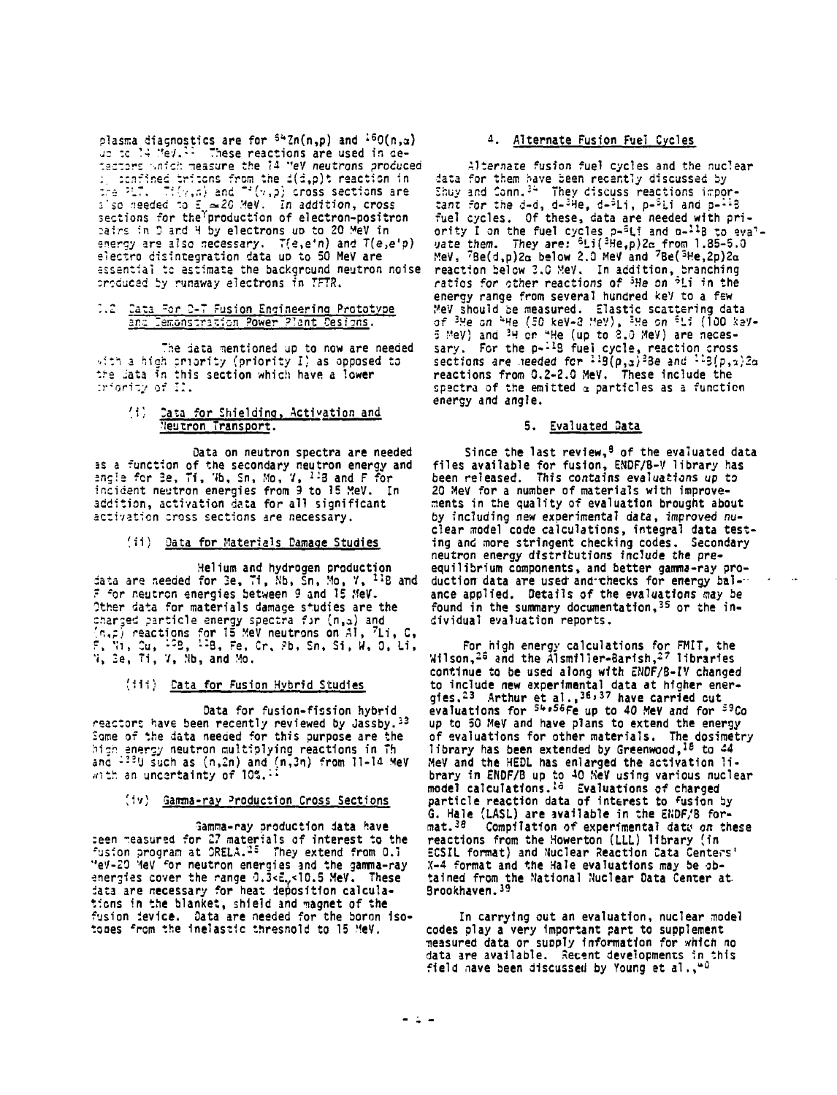plasma diagnostics are for <sup>54</sup>Zn(n,p) and <sup>16</sup>O(n,a)<br>up to 14 MeV.<sup>11</sup> These reactions are used in detestors which measure the 14 "eV neutrons produced Example the temperature of the state of the state in the depth reaction in<br>the PLT of Title of the state of the state of the PLT. The PLT of the production in the state of  $\frac{1}{2} \approx 20$  MeV. In addition, cross<br>sections f pairs in D and H by electrons up to 20 MeV in energy are also necessary. T(e,e'n) and T(e,e'p) electro disintegration data up to 50 MeV are essential to estimate the background neutron noise produced by runaway electrons in TFTR.

# 2.2 Cata for 2-7 Fusion Engineering Prototype

The data mentioned up to now are needed with a high priority (priority I) as opposed to the lata in this section which have a lower

# (i) Cata for Shielding, Activation and<br>Neutron Transport.

Data on neutron spectra are needed as a function of the secondary neutron energy and angle for Be, Ti, Wb, Sn, Mo, V, 148 and F for incident neutron energies from 9 to 15 MeV. In addition, activation data for all significant activation cross sections are necessary.

#### (ii) Data for Materials Damage Studies

Helium and hydrogen production data are needed for 3e, 71, Nb, Sn, Mo, 7, 11B and<br>F for neutron energies between 9 and 15 MeV. Other data for materials damage studies are the charged particle energy spectra for (n,a) and The presentions for 15 MeV neutrons on A1, 7Li, C,  $\{r, p\}$ , car, is 2, 12, F, 7. 2, 13, F, F, F, S, S, S, Si, W, O, Li, V, Se, Ti, V, Mb, and Mo.

# (111) <u>Data for Fusion Hybrid Studies</u>

Data for fusion-fission hybrid reactors have been recently reviewed by Jassby. 33 Some of the data needed for this purpose are the high energy neutron multiplying reactions in Th and 1330 such as (n.2n) and (n.3n) from 11-14 Mey<br>with an uncertainty of 10%.<sup>11</sup>

# (iv) Gamma-ray Production Cross Sections

Gamma-ray production data have ceen measured for 27 materials of interest to the<br>fusion program at ORELA.<sup>25</sup> They extend from 0.1 "eV-20 Yev" for neutron energies and the gamma-ray<br>energies cover the range 0.3<E<sub>y</sub><10.5 MeV. These data are necessary for heat deposition calculations in the blanket, shield and magnet of the fusion device. Data are needed for the boron iso-<br>tones from the inelastic threshold to 15 MeV.

# 4. Alternate Fusion Fuel Cycles

Alternate fusion fuel cycles and the nuclear data for them have been recently discussed by Shuy and Conn.<sup>34</sup> They discuss reactions impor-<br>tant for the d-d, d-<sup>21</sup>le, d-<sup>5</sup>Li, p-<sup>5</sup>Li and p-<sup>11</sup>8<br>fuel cycles. Of these, data are needed with priority I on the fuel cycles p-<sup>5</sup>Li and n-<sup>11</sup>8 to evalvate them. They are:  $6Li(3He,p)2c$  from 1.85-5.0 MeV, 7Be(d,p)2a below 2.0 MeV and 7Be(3He,2p)2a reaction below 3.0 MeV. In addition, branching<br>ratios for other reactions of <sup>3</sup>He on <sup>3</sup>Li in the energy range from several hundred key to a few Energy range from Severa Humanicular Scattering data<br>of 3He on 4He (50 keV-2 HeV), 3He on 5Li (100 keV-<br>5 MeV) and 3H or 4He (up to 2.0 MeV) are neces-<br>sary. For the p-1B fuel cycle, reaction cross<br>sections are needed for reactions from 0.2-2.0 MeV. These include the spectra of the emitted a particles as a function energy and angle.

#### 5. Evaluated Data

Since the last review,<sup>8</sup> of the evaluated data files available for fusion, ENDF/B-V library has been released. This contains evaluations up to 20 MeV for a number of materials with improvements in the quality of evaluation brought about by including new experimental data, improved nuclear model code calculations, integral data testing and more stringent checking codes. Secondary neutron energy distributions include the preequilibrium components, and better gamma-ray production data are used and checks for energy balance applied. Details of the evaluations may be found in the summary documentation.<sup>35</sup> or the individual evaluation reports.

For high energy calculations for FMIT, the Wilson,<sup>26</sup> and the Alsmiller-Barish,<sup>27</sup> libraries continue to be used along with ENDF/B-IV changed to include new experimental data at higher ener-<br>gies,<sup>23</sup> Arthur et al.,<sup>36,37</sup> have carried cut<br>evaluations for <sup>54,56</sup>Fe up to 40 MeV and for <sup>59</sup>Co up to 50 MeV and have plans to extend the energy of evaluations for other materials. The dosimetry library has been extended by Greenwood.<sup>18</sup> to 44 MeV and the HEDL has enlarged the activation library in ENDF/B up to 40 her using various nuclear<br>model calculations.<sup>18</sup> Evaluations of charged particle reaction data of interest to fusion by G. Hale (LASL) are available in the ENDF/B for $mat.^{19}$ Compilation of experimental data on these reactions from the Howerton (LLL) library (in ECSIL format) and Nuclear Reaction Cata Centers' X-4 format and the Hale evaluations may be obtained from the National Nuclear Data Center at.<br>Brookhaven.<sup>39</sup>

In carrying out an evaluation, nuclear model codes play a very important part to supplement measured data or supply information for which no data are available. Recent developments in this field nave been discussed by Young et al., "0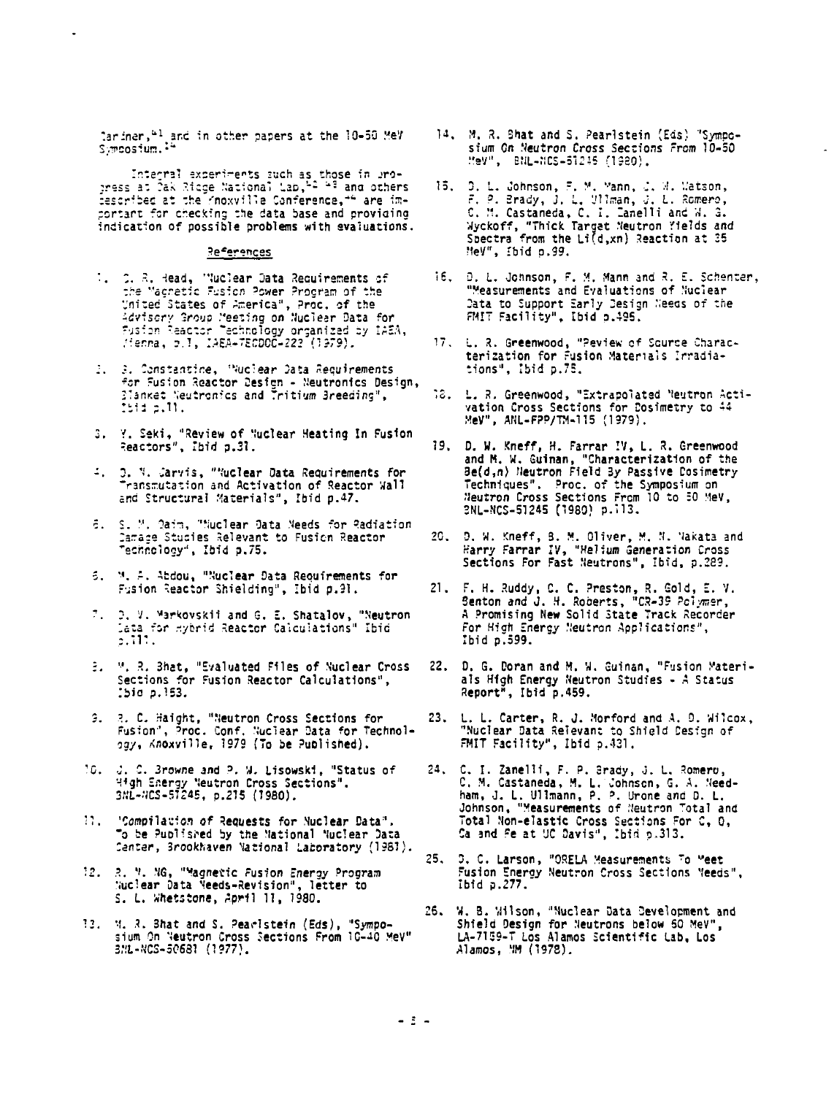lariner.<sup>41</sup> and in other papers at the 10-50 MeV Symposium.<sup>14</sup>

Internal experiments such as those in pro-<br>press at Cak Ridge National Lap,  $2^{2}$  <sup>2</sup> and others described at the Knoxville Conference, "" are imcortant for checking the data base and providing<br>indication of possible problems with evaluations.

#### References

- 1. C. R. Head, "Nuclear Data Requirements of<br>the Magnetic Fusion Power Program of the United States of America", Proc. of the Survey Group Meeting on Nuclear Data for<br>Advisory Group Meeting on Nuclear Data for<br>Fusion Reactor Technology organized by IAEA,<br>Mienna, p.1, IAEA-TECDOC-222 (1979),
- 2. 3. Constantine, "Nuclear Data Requirements For Fusion Reactor Design - Neutronics Design,<br>Banket Neutronics and Tritium Breeding",<br>Ibid p.11.
- 3. Y. Seki, "Review of Nuclear Heating In Fusion Reactors", Ibid p.31.
- 4. 2. N. Jarvis, "Nuclear Data Requirements for ransmutation and Activation of Reactor Wall and Structural Materials", Ibid p.47.
- 6. S. M. Daim, "Nuclear Data Meeds for Radiation Camade Studies Relevant to Fusion Reactor "echnology", Ibid p.75.
- 5. M. A. Abdou, "Nuclear Data Requirements for Fusion Reactor Shielding", Ibid p.91.
- 7. D. V. Markovskii and G. E. Shatalov, "Neutron<br>Lata for Hybrid Reactor Calculations" Ibid<br>p.111.
- 3. M. R. Bhat, "Evaluated Files of Nuclear Cross Sections for Fusion Reactor Calculations",  $510, 2.153.$
- 3. 2. C. Haight, "Neutron Cross Sections for<br>Fusion", Proc. Conf. Nuclear Data for Technol-<br>ogy, Knoxville, 1979 (To be Published).
- 10. J. C. Browne and P. W. Lisowski, "Status of 44gh Energy Neutron Cross Sections".<br>3NL-4CS-51245, p.215 (1980).
- 11. 'Compilation of Requests for Nuclear Data". To be Published by the National Nuclear Data<br>Center, Brookhaven National Laboratory (1981).
- 12. R. M. NG, "Magnetic Fusion Energy Program Nuclear Data Needs-Revision", letter to<br>S. L. Whetstone, April 11, 1980.
- 13. M. R. Bhat and S. Pearlstein (Eds), "Sympo-<br>sium On Neutron Cross Sections From 10-40 MeV" 3ML-NCS-50681 (1977).
- 14. M. R. Shat and S. Pearlstein (Eds) 'Symposium On Neutron Cross Sections From 10-50 MeV", BNL-NCS-51245 (1980).
- 15. D. L. Johnson, F. M. Mann, J. M. Matson,<br>F. P. Brady, J. L. Wlman, J. L. Romero,<br>C. M. Castaneda, C. I. Tanelli and W. G.<br>Myckoff, "Thick Target Meutron Yields and<br>Spectra from the Li(d,xn) Reaction at 35 HeV", Ibid n.99.
- 16. D. L. Johnson, F. M. Mann and R. E. Schenter, "Measurements and Evaluations of Nuclear Data to Support Early Design Needs of the FMIT Facility", Ibid p.495.
- 17. L. R. Greenwood, "Peview of Source Characterization for Fusion Materials Irradiations", Ibid p.75.
- 18. L. R. Greenwood, "Extrapolated Neutron Acti-<br>vation Cross Sections for Dosimetry to 44<br>MeV", ARL-FPP/TM-115 (1979).
- 19. D. W. Kneff, H. Farrar IV, L. R. Greenwood of M. M. Guinan, "Characterization of the<br>Be(d,n) Neutron Field By Passive Cosimetry Techniques". Proc. of the Symposium on Neutron Cross Sections From 10 to 50 MeV,<br>SNL-NCS-51245 (1980) p.113.
- 20. D. W. Kneff, B. M. Oliver, M. N. Vakata and Harry Farrar IV, "Helium Generation Cross<br>Sections For Fast Neutrons", Ibid, p.289.
- 21. F. H. Ruddy, C. C. Preston, R. Gold, E. V. Senton and J. H. Roberts, "CR-39 Polymer, A Promising New Solid State Track Recorder For High Energy Neutron Applications", Ibid p.599.
- 22. D. G. Doran and M. W. Guinan, "Fusion Materials High Energy Neutron Studies - A Status Report", Ibid p.459.
- L. L. Carter, R. J. Morford and A. D. Wilcox, 23. "Nuclear Data Relevant to Shield Design of FMIT Facility", Ibid p.431.
- 24. C. I. Zanelli, F. P. Brady, J. L. Romero, C. M. Castaneda, M. L. Johnson, G. A. Need-ham, J. L. Ullmann, P. P. Urone and D. L. Johnson, "Measurements of Neutron Total and Total Non-elastic Cross Sections For C, 0,<br>Ca and Fe at UC Davis", Ibid p.313.
- $25.$ D. C. Larson, "ORELA Measurements To Meet Fusion Energy Neutron Cross Sections Needs". Ibid p.277.
- 26. W. B. Wilson, "Nuclear Data Development and Shield Design for Neutrons below 50 MeV", LA-7159-T Los Alamos Scientific Lab, Los Alamos, MM (1978).